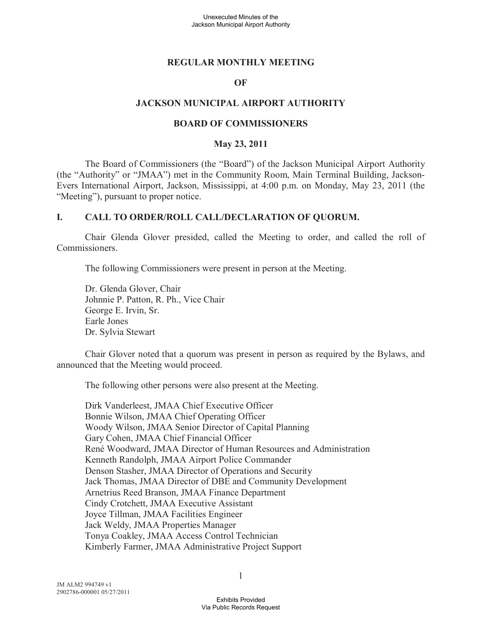#### **REGULAR MONTHLY MEETING**

#### **OF**

#### **JACKSON MUNICIPAL AIRPORT AUTHORITY**

#### **BOARD OF COMMISSIONERS**

#### **May 23, 2011**

The Board of Commissioners (the "Board") of the Jackson Municipal Airport Authority (the "Authority" or "JMAA") met in the Community Room, Main Terminal Building, Jackson-Evers International Airport, Jackson, Mississippi, at 4:00 p.m. on Monday, May 23, 2011 (the "Meeting"), pursuant to proper notice.

#### **I. CALL TO ORDER/ROLL CALL/DECLARATION OF QUORUM.**

Chair Glenda Glover presided, called the Meeting to order, and called the roll of Commissioners.

The following Commissioners were present in person at the Meeting.

Dr. Glenda Glover, Chair Johnnie P. Patton, R. Ph., Vice Chair George E. Irvin, Sr. Earle Jones Dr. Sylvia Stewart

Chair Glover noted that a quorum was present in person as required by the Bylaws, and announced that the Meeting would proceed.

The following other persons were also present at the Meeting.

Dirk Vanderleest, JMAA Chief Executive Officer Bonnie Wilson, JMAA Chief Operating Officer Woody Wilson, JMAA Senior Director of Capital Planning Gary Cohen, JMAA Chief Financial Officer René Woodward, JMAA Director of Human Resources and Administration Kenneth Randolph, JMAA Airport Police Commander Denson Stasher, JMAA Director of Operations and Security Jack Thomas, JMAA Director of DBE and Community Development Arnetrius Reed Branson, JMAA Finance Department Cindy Crotchett, JMAA Executive Assistant Joyce Tillman, JMAA Facilities Engineer Jack Weldy, JMAA Properties Manager Tonya Coakley, JMAA Access Control Technician Kimberly Farmer, JMAA Administrative Project Support

1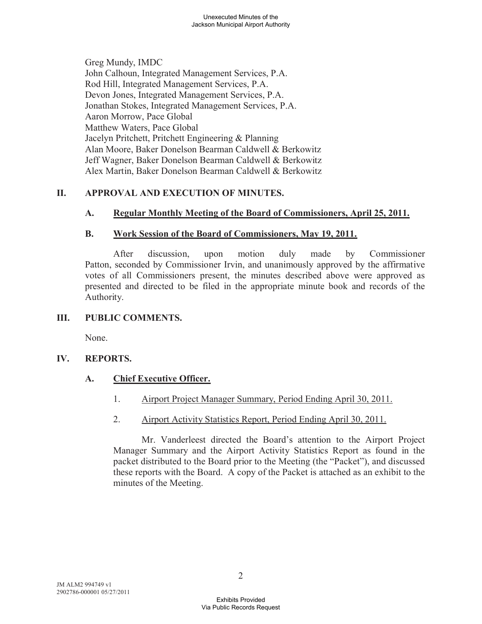Greg Mundy, IMDC John Calhoun, Integrated Management Services, P.A. Rod Hill, Integrated Management Services, P.A. Devon Jones, Integrated Management Services, P.A. Jonathan Stokes, Integrated Management Services, P.A. Aaron Morrow, Pace Global Matthew Waters, Pace Global Jacelyn Pritchett, Pritchett Engineering & Planning Alan Moore, Baker Donelson Bearman Caldwell & Berkowitz Jeff Wagner, Baker Donelson Bearman Caldwell & Berkowitz Alex Martin, Baker Donelson Bearman Caldwell & Berkowitz

# **II. APPROVAL AND EXECUTION OF MINUTES.**

# **A. Regular Monthly Meeting of the Board of Commissioners, April 25, 2011.**

# **B. Work Session of the Board of Commissioners, May 19, 2011.**

After discussion, upon motion duly made by Commissioner Patton, seconded by Commissioner Irvin, and unanimously approved by the affirmative votes of all Commissioners present, the minutes described above were approved as presented and directed to be filed in the appropriate minute book and records of the Authority.

# **III. PUBLIC COMMENTS.**

None.

# **IV. REPORTS.**

# **A. Chief Executive Officer.**

- 1. Airport Project Manager Summary, Period Ending April 30, 2011.
- 2. Airport Activity Statistics Report, Period Ending April 30, 2011.

Mr. Vanderleest directed the Board's attention to the Airport Project Manager Summary and the Airport Activity Statistics Report as found in the packet distributed to the Board prior to the Meeting (the "Packet"), and discussed these reports with the Board. A copy of the Packet is attached as an exhibit to the minutes of the Meeting.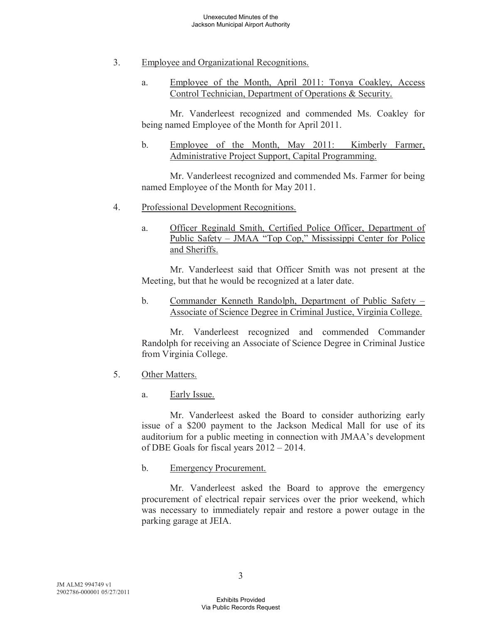- 3. Employee and Organizational Recognitions.
	- a. Employee of the Month, April 2011: Tonya Coakley, Access Control Technician, Department of Operations & Security.

Mr. Vanderleest recognized and commended Ms. Coakley for being named Employee of the Month for April 2011.

b. Employee of the Month, May 2011: Kimberly Farmer, Administrative Project Support, Capital Programming.

Mr. Vanderleest recognized and commended Ms. Farmer for being named Employee of the Month for May 2011.

- 4. Professional Development Recognitions.
	- a. Officer Reginald Smith, Certified Police Officer, Department of Public Safety – JMAA "Top Cop," Mississippi Center for Police and Sheriffs.

Mr. Vanderleest said that Officer Smith was not present at the Meeting, but that he would be recognized at a later date.

b. Commander Kenneth Randolph, Department of Public Safety – Associate of Science Degree in Criminal Justice, Virginia College.

Mr. Vanderleest recognized and commended Commander Randolph for receiving an Associate of Science Degree in Criminal Justice from Virginia College.

- 5. Other Matters.
	- a. Early Issue.

Mr. Vanderleest asked the Board to consider authorizing early issue of a \$200 payment to the Jackson Medical Mall for use of its auditorium for a public meeting in connection with JMAA's development of DBE Goals for fiscal years 2012 – 2014.

b. Emergency Procurement.

Mr. Vanderleest asked the Board to approve the emergency procurement of electrical repair services over the prior weekend, which was necessary to immediately repair and restore a power outage in the parking garage at JEIA.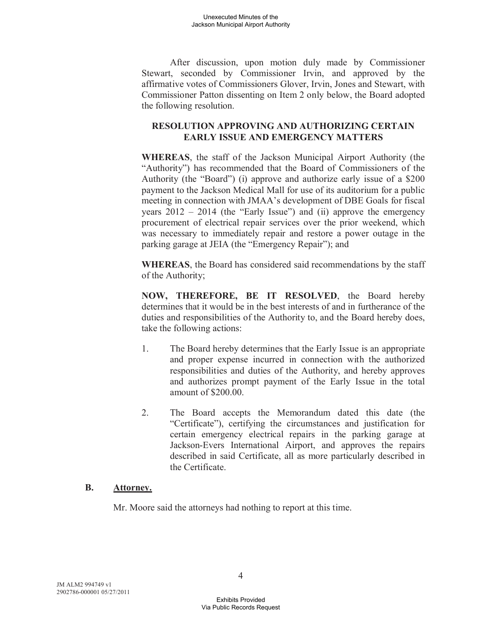After discussion, upon motion duly made by Commissioner Stewart, seconded by Commissioner Irvin, and approved by the affirmative votes of Commissioners Glover, Irvin, Jones and Stewart, with Commissioner Patton dissenting on Item 2 only below, the Board adopted the following resolution.

# **RESOLUTION APPROVING AND AUTHORIZING CERTAIN EARLY ISSUE AND EMERGENCY MATTERS**

**WHEREAS**, the staff of the Jackson Municipal Airport Authority (the "Authority") has recommended that the Board of Commissioners of the Authority (the "Board") (i) approve and authorize early issue of a \$200 payment to the Jackson Medical Mall for use of its auditorium for a public meeting in connection with JMAA's development of DBE Goals for fiscal years 2012 – 2014 (the "Early Issue") and (ii) approve the emergency procurement of electrical repair services over the prior weekend, which was necessary to immediately repair and restore a power outage in the parking garage at JEIA (the "Emergency Repair"); and

**WHEREAS**, the Board has considered said recommendations by the staff of the Authority;

**NOW, THEREFORE, BE IT RESOLVED**, the Board hereby determines that it would be in the best interests of and in furtherance of the duties and responsibilities of the Authority to, and the Board hereby does, take the following actions:

- 1. The Board hereby determines that the Early Issue is an appropriate and proper expense incurred in connection with the authorized responsibilities and duties of the Authority, and hereby approves and authorizes prompt payment of the Early Issue in the total amount of \$200.00.
- 2. The Board accepts the Memorandum dated this date (the "Certificate"), certifying the circumstances and justification for certain emergency electrical repairs in the parking garage at Jackson-Evers International Airport, and approves the repairs described in said Certificate, all as more particularly described in the Certificate.

# **B. Attorney.**

Mr. Moore said the attorneys had nothing to report at this time.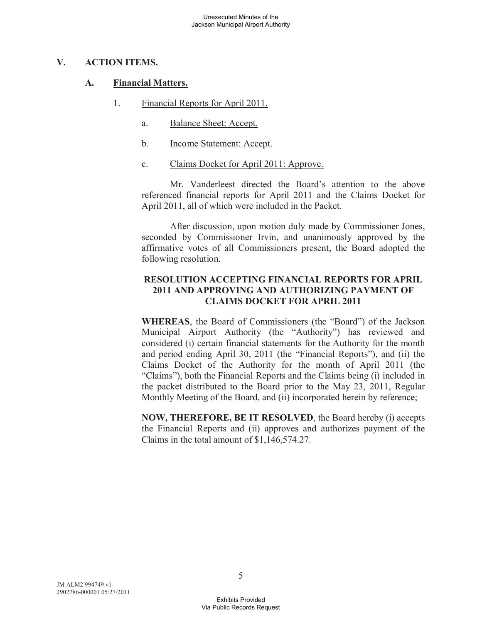#### **V. ACTION ITEMS.**

#### **A. Financial Matters.**

- 1. Financial Reports for April 2011.
	- a. Balance Sheet: Accept.
	- b. Income Statement: Accept.
	- c. Claims Docket for April 2011: Approve.

Mr. Vanderleest directed the Board's attention to the above referenced financial reports for April 2011 and the Claims Docket for April 2011, all of which were included in the Packet.

After discussion, upon motion duly made by Commissioner Jones, seconded by Commissioner Irvin, and unanimously approved by the affirmative votes of all Commissioners present, the Board adopted the following resolution.

# **RESOLUTION ACCEPTING FINANCIAL REPORTS FOR APRIL 2011 AND APPROVING AND AUTHORIZING PAYMENT OF CLAIMS DOCKET FOR APRIL 2011**

**WHEREAS**, the Board of Commissioners (the "Board") of the Jackson Municipal Airport Authority (the "Authority") has reviewed and considered (i) certain financial statements for the Authority for the month and period ending April 30, 2011 (the "Financial Reports"), and (ii) the Claims Docket of the Authority for the month of April 2011 (the "Claims"), both the Financial Reports and the Claims being (i) included in the packet distributed to the Board prior to the May 23, 2011, Regular Monthly Meeting of the Board, and (ii) incorporated herein by reference;

**NOW, THEREFORE, BE IT RESOLVED**, the Board hereby (i) accepts the Financial Reports and (ii) approves and authorizes payment of the Claims in the total amount of \$1,146,574.27.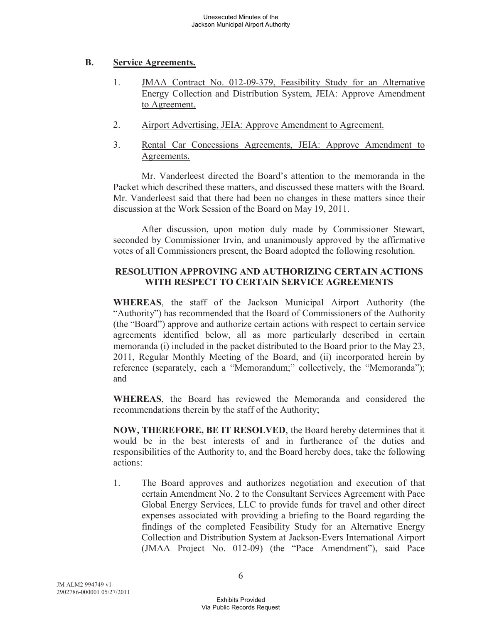# **B. Service Agreements.**

- 1. JMAA Contract No. 012-09-379, Feasibility Study for an Alternative Energy Collection and Distribution System, JEIA: Approve Amendment to Agreement.
- 2. Airport Advertising, JEIA: Approve Amendment to Agreement.
- 3. Rental Car Concessions Agreements, JEIA: Approve Amendment to Agreements.

Mr. Vanderleest directed the Board's attention to the memoranda in the Packet which described these matters, and discussed these matters with the Board. Mr. Vanderleest said that there had been no changes in these matters since their discussion at the Work Session of the Board on May 19, 2011.

After discussion, upon motion duly made by Commissioner Stewart, seconded by Commissioner Irvin, and unanimously approved by the affirmative votes of all Commissioners present, the Board adopted the following resolution.

# **RESOLUTION APPROVING AND AUTHORIZING CERTAIN ACTIONS WITH RESPECT TO CERTAIN SERVICE AGREEMENTS**

**WHEREAS**, the staff of the Jackson Municipal Airport Authority (the "Authority") has recommended that the Board of Commissioners of the Authority (the "Board") approve and authorize certain actions with respect to certain service agreements identified below, all as more particularly described in certain memoranda (i) included in the packet distributed to the Board prior to the May 23, 2011, Regular Monthly Meeting of the Board, and (ii) incorporated herein by reference (separately, each a "Memorandum;" collectively, the "Memoranda"); and

**WHEREAS**, the Board has reviewed the Memoranda and considered the recommendations therein by the staff of the Authority;

**NOW, THEREFORE, BE IT RESOLVED**, the Board hereby determines that it would be in the best interests of and in furtherance of the duties and responsibilities of the Authority to, and the Board hereby does, take the following actions:

1. The Board approves and authorizes negotiation and execution of that certain Amendment No. 2 to the Consultant Services Agreement with Pace Global Energy Services, LLC to provide funds for travel and other direct expenses associated with providing a briefing to the Board regarding the findings of the completed Feasibility Study for an Alternative Energy Collection and Distribution System at Jackson-Evers International Airport (JMAA Project No. 012-09) (the "Pace Amendment"), said Pace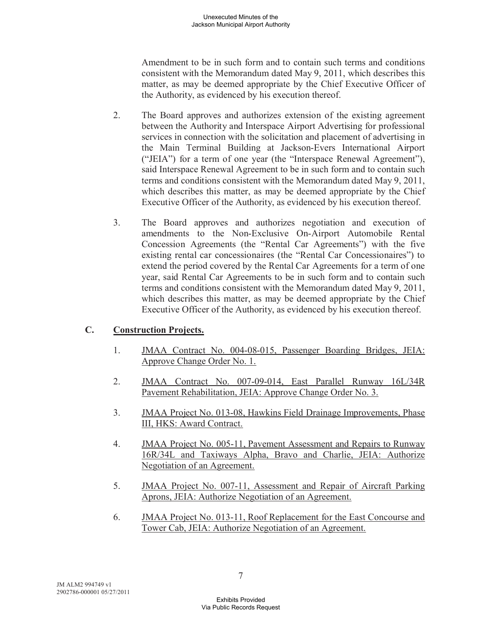Amendment to be in such form and to contain such terms and conditions consistent with the Memorandum dated May 9, 2011, which describes this matter, as may be deemed appropriate by the Chief Executive Officer of the Authority, as evidenced by his execution thereof.

- 2. The Board approves and authorizes extension of the existing agreement between the Authority and Interspace Airport Advertising for professional services in connection with the solicitation and placement of advertising in the Main Terminal Building at Jackson-Evers International Airport ("JEIA") for a term of one year (the "Interspace Renewal Agreement"), said Interspace Renewal Agreement to be in such form and to contain such terms and conditions consistent with the Memorandum dated May 9, 2011, which describes this matter, as may be deemed appropriate by the Chief Executive Officer of the Authority, as evidenced by his execution thereof.
- 3. The Board approves and authorizes negotiation and execution of amendments to the Non-Exclusive On-Airport Automobile Rental Concession Agreements (the "Rental Car Agreements") with the five existing rental car concessionaires (the "Rental Car Concessionaires") to extend the period covered by the Rental Car Agreements for a term of one year, said Rental Car Agreements to be in such form and to contain such terms and conditions consistent with the Memorandum dated May 9, 2011, which describes this matter, as may be deemed appropriate by the Chief Executive Officer of the Authority, as evidenced by his execution thereof.

# **C. Construction Projects.**

- 1. JMAA Contract No. 004-08-015, Passenger Boarding Bridges, JEIA: Approve Change Order No. 1.
- 2. JMAA Contract No. 007-09-014, East Parallel Runway 16L/34R Pavement Rehabilitation, JEIA: Approve Change Order No. 3.
- 3. JMAA Project No. 013-08, Hawkins Field Drainage Improvements, Phase III, HKS: Award Contract.
- 4. JMAA Project No. 005-11, Pavement Assessment and Repairs to Runway 16R/34L and Taxiways Alpha, Bravo and Charlie, JEIA: Authorize Negotiation of an Agreement.
- 5. JMAA Project No. 007-11, Assessment and Repair of Aircraft Parking Aprons, JEIA: Authorize Negotiation of an Agreement.
- 6. JMAA Project No. 013-11, Roof Replacement for the East Concourse and Tower Cab, JEIA: Authorize Negotiation of an Agreement.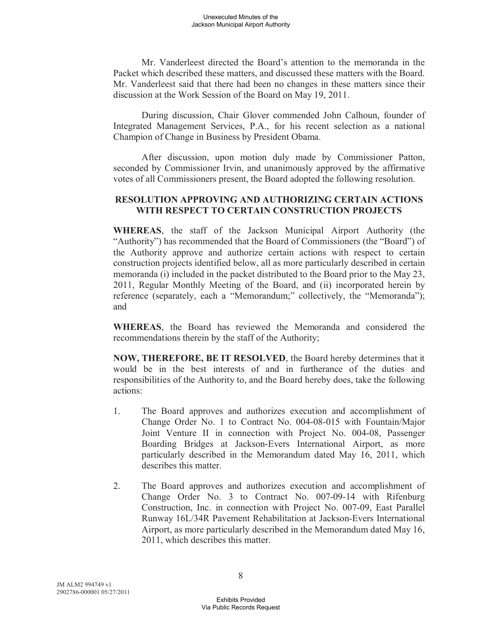Mr. Vanderleest directed the Board's attention to the memoranda in the Packet which described these matters, and discussed these matters with the Board. Mr. Vanderleest said that there had been no changes in these matters since their discussion at the Work Session of the Board on May 19, 2011.

During discussion, Chair Glover commended John Calhoun, founder of Integrated Management Services, P.A., for his recent selection as a national Champion of Change in Business by President Obama.

After discussion, upon motion duly made by Commissioner Patton, seconded by Commissioner Irvin, and unanimously approved by the affirmative votes of all Commissioners present, the Board adopted the following resolution.

#### **RESOLUTION APPROVING AND AUTHORIZING CERTAIN ACTIONS WITH RESPECT TO CERTAIN CONSTRUCTION PROJECTS**

**WHEREAS**, the staff of the Jackson Municipal Airport Authority (the "Authority") has recommended that the Board of Commissioners (the "Board") of the Authority approve and authorize certain actions with respect to certain construction projects identified below, all as more particularly described in certain memoranda (i) included in the packet distributed to the Board prior to the May 23, 2011, Regular Monthly Meeting of the Board, and (ii) incorporated herein by reference (separately, each a "Memorandum;" collectively, the "Memoranda"); and

**WHEREAS**, the Board has reviewed the Memoranda and considered the recommendations therein by the staff of the Authority;

**NOW, THEREFORE, BE IT RESOLVED**, the Board hereby determines that it would be in the best interests of and in furtherance of the duties and responsibilities of the Authority to, and the Board hereby does, take the following actions:

- 1. The Board approves and authorizes execution and accomplishment of Change Order No. 1 to Contract No. 004-08-015 with Fountain/Major Joint Venture II in connection with Project No. 004-08, Passenger Boarding Bridges at Jackson-Evers International Airport, as more particularly described in the Memorandum dated May 16, 2011, which describes this matter.
- 2. The Board approves and authorizes execution and accomplishment of Change Order No. 3 to Contract No. 007-09-14 with Rifenburg Construction, Inc. in connection with Project No. 007-09, East Parallel Runway 16L/34R Pavement Rehabilitation at Jackson-Evers International Airport, as more particularly described in the Memorandum dated May 16, 2011, which describes this matter.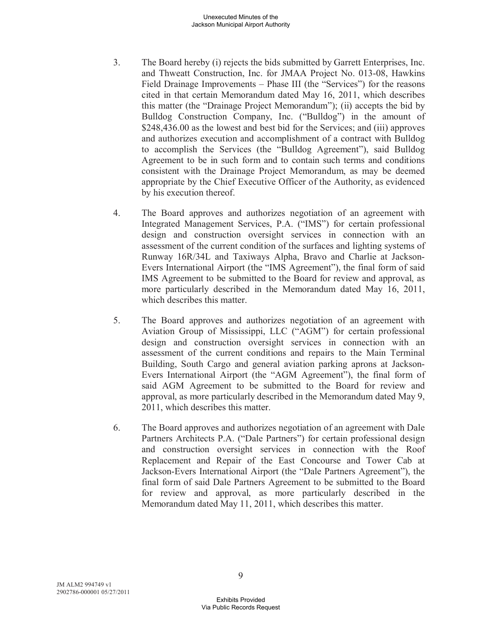- 3. The Board hereby (i) rejects the bids submitted by Garrett Enterprises, Inc. and Thweatt Construction, Inc. for JMAA Project No. 013-08, Hawkins Field Drainage Improvements – Phase III (the "Services") for the reasons cited in that certain Memorandum dated May 16, 2011, which describes this matter (the "Drainage Project Memorandum"); (ii) accepts the bid by Bulldog Construction Company, Inc. ("Bulldog") in the amount of \$248,436.00 as the lowest and best bid for the Services; and (iii) approves and authorizes execution and accomplishment of a contract with Bulldog to accomplish the Services (the "Bulldog Agreement"), said Bulldog Agreement to be in such form and to contain such terms and conditions consistent with the Drainage Project Memorandum, as may be deemed appropriate by the Chief Executive Officer of the Authority, as evidenced by his execution thereof.
- 4. The Board approves and authorizes negotiation of an agreement with Integrated Management Services, P.A. ("IMS") for certain professional design and construction oversight services in connection with an assessment of the current condition of the surfaces and lighting systems of Runway 16R/34L and Taxiways Alpha, Bravo and Charlie at Jackson-Evers International Airport (the "IMS Agreement"), the final form of said IMS Agreement to be submitted to the Board for review and approval, as more particularly described in the Memorandum dated May 16, 2011, which describes this matter.
- 5. The Board approves and authorizes negotiation of an agreement with Aviation Group of Mississippi, LLC ("AGM") for certain professional design and construction oversight services in connection with an assessment of the current conditions and repairs to the Main Terminal Building, South Cargo and general aviation parking aprons at Jackson-Evers International Airport (the "AGM Agreement"), the final form of said AGM Agreement to be submitted to the Board for review and approval, as more particularly described in the Memorandum dated May 9, 2011, which describes this matter.
- 6. The Board approves and authorizes negotiation of an agreement with Dale Partners Architects P.A. ("Dale Partners") for certain professional design and construction oversight services in connection with the Roof Replacement and Repair of the East Concourse and Tower Cab at Jackson-Evers International Airport (the "Dale Partners Agreement"), the final form of said Dale Partners Agreement to be submitted to the Board for review and approval, as more particularly described in the Memorandum dated May 11, 2011, which describes this matter.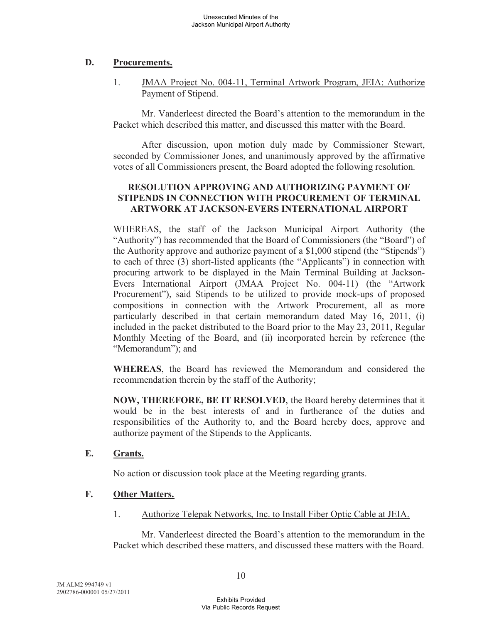# **D. Procurements.**

# 1. JMAA Project No. 004-11, Terminal Artwork Program, JEIA: Authorize Payment of Stipend.

Mr. Vanderleest directed the Board's attention to the memorandum in the Packet which described this matter, and discussed this matter with the Board.

After discussion, upon motion duly made by Commissioner Stewart, seconded by Commissioner Jones, and unanimously approved by the affirmative votes of all Commissioners present, the Board adopted the following resolution.

#### **RESOLUTION APPROVING AND AUTHORIZING PAYMENT OF STIPENDS IN CONNECTION WITH PROCUREMENT OF TERMINAL ARTWORK AT JACKSON-EVERS INTERNATIONAL AIRPORT**

WHEREAS, the staff of the Jackson Municipal Airport Authority (the "Authority") has recommended that the Board of Commissioners (the "Board") of the Authority approve and authorize payment of a \$1,000 stipend (the "Stipends") to each of three (3) short-listed applicants (the "Applicants") in connection with procuring artwork to be displayed in the Main Terminal Building at Jackson-Evers International Airport (JMAA Project No. 004-11) (the "Artwork Procurement"), said Stipends to be utilized to provide mock-ups of proposed compositions in connection with the Artwork Procurement, all as more particularly described in that certain memorandum dated May 16, 2011, (i) included in the packet distributed to the Board prior to the May 23, 2011, Regular Monthly Meeting of the Board, and (ii) incorporated herein by reference (the "Memorandum"); and

**WHEREAS**, the Board has reviewed the Memorandum and considered the recommendation therein by the staff of the Authority;

**NOW, THEREFORE, BE IT RESOLVED**, the Board hereby determines that it would be in the best interests of and in furtherance of the duties and responsibilities of the Authority to, and the Board hereby does, approve and authorize payment of the Stipends to the Applicants.

# **E. Grants.**

No action or discussion took place at the Meeting regarding grants.

# **F. Other Matters.**

1. Authorize Telepak Networks, Inc. to Install Fiber Optic Cable at JEIA.

Mr. Vanderleest directed the Board's attention to the memorandum in the Packet which described these matters, and discussed these matters with the Board.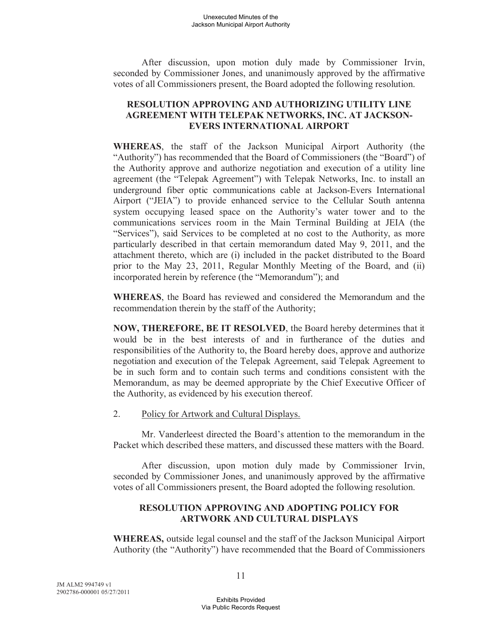After discussion, upon motion duly made by Commissioner Irvin, seconded by Commissioner Jones, and unanimously approved by the affirmative votes of all Commissioners present, the Board adopted the following resolution.

# **RESOLUTION APPROVING AND AUTHORIZING UTILITY LINE AGREEMENT WITH TELEPAK NETWORKS, INC. AT JACKSON-EVERS INTERNATIONAL AIRPORT**

**WHEREAS**, the staff of the Jackson Municipal Airport Authority (the "Authority") has recommended that the Board of Commissioners (the "Board") of the Authority approve and authorize negotiation and execution of a utility line agreement (the "Telepak Agreement") with Telepak Networks, Inc. to install an underground fiber optic communications cable at Jackson-Evers International Airport ("JEIA") to provide enhanced service to the Cellular South antenna system occupying leased space on the Authority's water tower and to the communications services room in the Main Terminal Building at JEIA (the "Services"), said Services to be completed at no cost to the Authority, as more particularly described in that certain memorandum dated May 9, 2011, and the attachment thereto, which are (i) included in the packet distributed to the Board prior to the May 23, 2011, Regular Monthly Meeting of the Board, and (ii) incorporated herein by reference (the "Memorandum"); and

**WHEREAS**, the Board has reviewed and considered the Memorandum and the recommendation therein by the staff of the Authority;

**NOW, THEREFORE, BE IT RESOLVED**, the Board hereby determines that it would be in the best interests of and in furtherance of the duties and responsibilities of the Authority to, the Board hereby does, approve and authorize negotiation and execution of the Telepak Agreement, said Telepak Agreement to be in such form and to contain such terms and conditions consistent with the Memorandum, as may be deemed appropriate by the Chief Executive Officer of the Authority, as evidenced by his execution thereof.

2. Policy for Artwork and Cultural Displays.

Mr. Vanderleest directed the Board's attention to the memorandum in the Packet which described these matters, and discussed these matters with the Board.

After discussion, upon motion duly made by Commissioner Irvin, seconded by Commissioner Jones, and unanimously approved by the affirmative votes of all Commissioners present, the Board adopted the following resolution.

# **RESOLUTION APPROVING AND ADOPTING POLICY FOR ARTWORK AND CULTURAL DISPLAYS**

**WHEREAS,** outside legal counsel and the staff of the Jackson Municipal Airport Authority (the "Authority") have recommended that the Board of Commissioners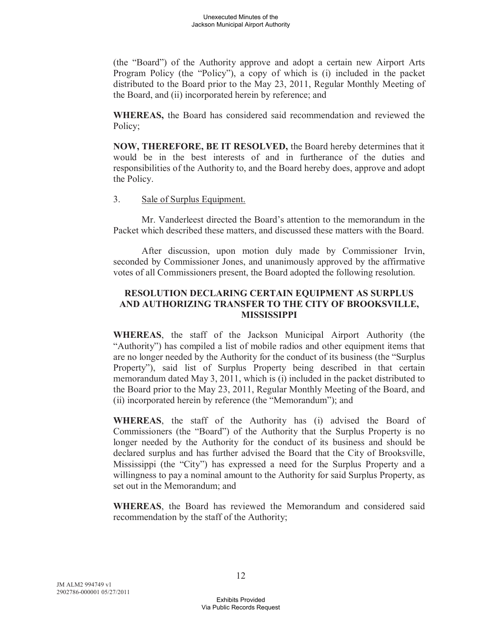(the "Board") of the Authority approve and adopt a certain new Airport Arts Program Policy (the "Policy"), a copy of which is (i) included in the packet distributed to the Board prior to the May 23, 2011, Regular Monthly Meeting of the Board, and (ii) incorporated herein by reference; and

**WHEREAS,** the Board has considered said recommendation and reviewed the Policy;

**NOW, THEREFORE, BE IT RESOLVED,** the Board hereby determines that it would be in the best interests of and in furtherance of the duties and responsibilities of the Authority to, and the Board hereby does, approve and adopt the Policy.

# 3. Sale of Surplus Equipment.

Mr. Vanderleest directed the Board's attention to the memorandum in the Packet which described these matters, and discussed these matters with the Board.

After discussion, upon motion duly made by Commissioner Irvin, seconded by Commissioner Jones, and unanimously approved by the affirmative votes of all Commissioners present, the Board adopted the following resolution.

#### **RESOLUTION DECLARING CERTAIN EQUIPMENT AS SURPLUS AND AUTHORIZING TRANSFER TO THE CITY OF BROOKSVILLE, MISSISSIPPI**

**WHEREAS**, the staff of the Jackson Municipal Airport Authority (the "Authority") has compiled a list of mobile radios and other equipment items that are no longer needed by the Authority for the conduct of its business (the "Surplus Property"), said list of Surplus Property being described in that certain memorandum dated May 3, 2011, which is (i) included in the packet distributed to the Board prior to the May 23, 2011, Regular Monthly Meeting of the Board, and (ii) incorporated herein by reference (the "Memorandum"); and

**WHEREAS**, the staff of the Authority has (i) advised the Board of Commissioners (the "Board") of the Authority that the Surplus Property is no longer needed by the Authority for the conduct of its business and should be declared surplus and has further advised the Board that the City of Brooksville, Mississippi (the "City") has expressed a need for the Surplus Property and a willingness to pay a nominal amount to the Authority for said Surplus Property, as set out in the Memorandum; and

**WHEREAS**, the Board has reviewed the Memorandum and considered said recommendation by the staff of the Authority;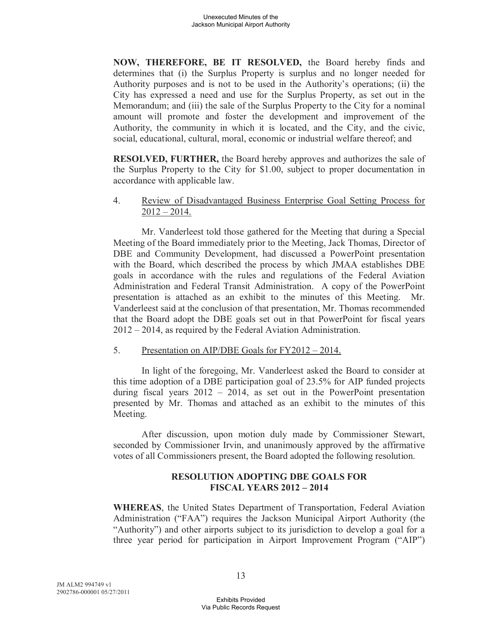**NOW, THEREFORE, BE IT RESOLVED,** the Board hereby finds and determines that (i) the Surplus Property is surplus and no longer needed for Authority purposes and is not to be used in the Authority's operations; (ii) the City has expressed a need and use for the Surplus Property, as set out in the Memorandum; and (iii) the sale of the Surplus Property to the City for a nominal amount will promote and foster the development and improvement of the Authority, the community in which it is located, and the City, and the civic, social, educational, cultural, moral, economic or industrial welfare thereof; and

**RESOLVED, FURTHER,** the Board hereby approves and authorizes the sale of the Surplus Property to the City for \$1.00, subject to proper documentation in accordance with applicable law.

#### 4. Review of Disadvantaged Business Enterprise Goal Setting Process for  $2012 - 2014$ .

Mr. Vanderleest told those gathered for the Meeting that during a Special Meeting of the Board immediately prior to the Meeting, Jack Thomas, Director of DBE and Community Development, had discussed a PowerPoint presentation with the Board, which described the process by which JMAA establishes DBE goals in accordance with the rules and regulations of the Federal Aviation Administration and Federal Transit Administration. A copy of the PowerPoint presentation is attached as an exhibit to the minutes of this Meeting. Mr. Vanderleest said at the conclusion of that presentation, Mr. Thomas recommended that the Board adopt the DBE goals set out in that PowerPoint for fiscal years 2012 – 2014, as required by the Federal Aviation Administration.

#### 5. Presentation on AIP/DBE Goals for FY2012 – 2014.

In light of the foregoing, Mr. Vanderleest asked the Board to consider at this time adoption of a DBE participation goal of 23.5% for AIP funded projects during fiscal years  $2012 - 2014$ , as set out in the PowerPoint presentation presented by Mr. Thomas and attached as an exhibit to the minutes of this Meeting.

After discussion, upon motion duly made by Commissioner Stewart, seconded by Commissioner Irvin, and unanimously approved by the affirmative votes of all Commissioners present, the Board adopted the following resolution.

#### **RESOLUTION ADOPTING DBE GOALS FOR FISCAL YEARS 2012 – 2014**

**WHEREAS**, the United States Department of Transportation, Federal Aviation Administration ("FAA") requires the Jackson Municipal Airport Authority (the "Authority") and other airports subject to its jurisdiction to develop a goal for a three year period for participation in Airport Improvement Program ("AIP")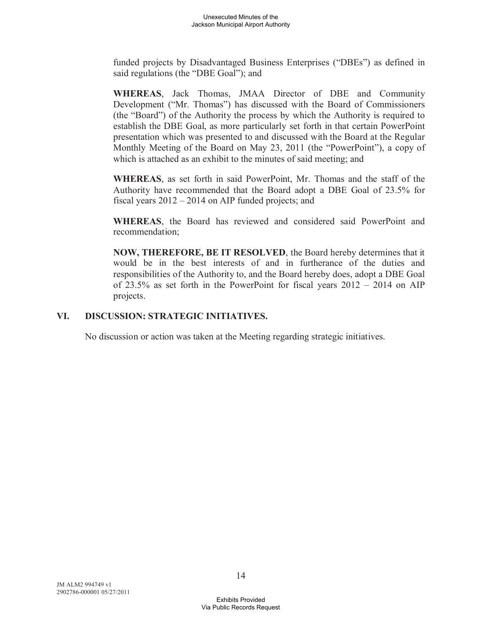funded projects by Disadvantaged Business Enterprises ("DBEs") as defined in said regulations (the "DBE Goal"); and

**WHEREAS**, Jack Thomas, JMAA Director of DBE and Community Development ("Mr. Thomas") has discussed with the Board of Commissioners (the "Board") of the Authority the process by which the Authority is required to establish the DBE Goal, as more particularly set forth in that certain PowerPoint presentation which was presented to and discussed with the Board at the Regular Monthly Meeting of the Board on May 23, 2011 (the "PowerPoint"), a copy of which is attached as an exhibit to the minutes of said meeting; and

**WHEREAS**, as set forth in said PowerPoint, Mr. Thomas and the staff of the Authority have recommended that the Board adopt a DBE Goal of 23.5% for fiscal years 2012 – 2014 on AIP funded projects; and

**WHEREAS**, the Board has reviewed and considered said PowerPoint and recommendation;

**NOW, THEREFORE, BE IT RESOLVED**, the Board hereby determines that it would be in the best interests of and in furtherance of the duties and responsibilities of the Authority to, and the Board hereby does, adopt a DBE Goal of 23.5% as set forth in the PowerPoint for fiscal years 2012 – 2014 on AIP projects.

# **VI. DISCUSSION: STRATEGIC INITIATIVES.**

No discussion or action was taken at the Meeting regarding strategic initiatives.